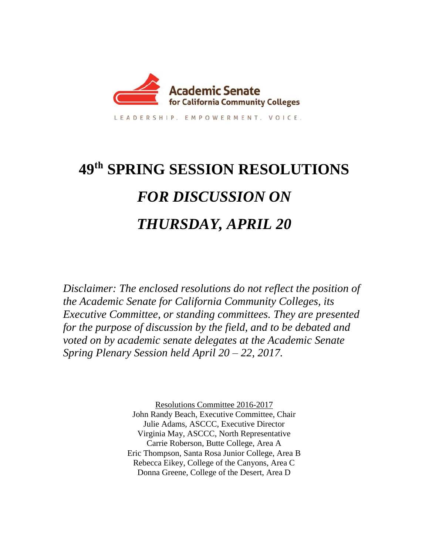

LEADERSHIP, EMPOWERMENT, VOICE,

# **49 th SPRING SESSION RESOLUTIONS** *FOR DISCUSSION ON THURSDAY, APRIL 20*

*Disclaimer: The enclosed resolutions do not reflect the position of the Academic Senate for California Community Colleges, its Executive Committee, or standing committees. They are presented for the purpose of discussion by the field, and to be debated and voted on by academic senate delegates at the Academic Senate Spring Plenary Session held April 20 – 22, 2017.* 

> Resolutions Committee 2016-2017 John Randy Beach, Executive Committee, Chair Julie Adams, ASCCC, Executive Director Virginia May, ASCCC, North Representative Carrie Roberson, Butte College, Area A Eric Thompson, Santa Rosa Junior College, Area B Rebecca Eikey, College of the Canyons, Area C Donna Greene, College of the Desert, Area D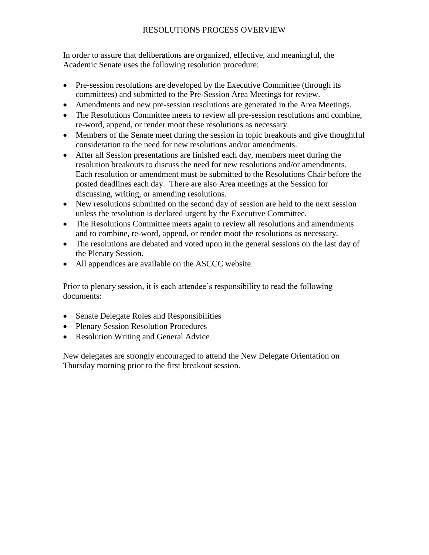# RESOLUTIONS PROCESS OVERVIEW

In order to assure that deliberations are organized, effective, and meaningful, the Academic Senate uses the following resolution procedure:

- Pre-session resolutions are developed by the Executive Committee (through its committees) and submitted to the Pre-Session Area Meetings for review.
- Amendments and new pre-session resolutions are generated in the Area Meetings.
- The Resolutions Committee meets to review all pre-session resolutions and combine, re-word, append, or render moot these resolutions as necessary.
- Members of the Senate meet during the session in topic breakouts and give thoughtful consideration to the need for new resolutions and/or amendments.
- After all Session presentations are finished each day, members meet during the resolution breakouts to discuss the need for new resolutions and/or amendments. Each resolution or amendment must be submitted to the Resolutions Chair before the posted deadlines each day. There are also Area meetings at the Session for discussing, writing, or amending resolutions.
- New resolutions submitted on the second day of session are held to the next session unless the resolution is declared urgent by the Executive Committee.
- The Resolutions Committee meets again to review all resolutions and amendments and to combine, re-word, append, or render moot the resolutions as necessary.
- The resolutions are debated and voted upon in the general sessions on the last day of the Plenary Session.
- All appendices are available on the ASCCC website.

Prior to plenary session, it is each attendee's responsibility to read the following documents:

- Senate Delegate Roles and Responsibilities
- Plenary Session Resolution Procedures
- Resolution Writing and General Advice

New delegates are strongly encouraged to attend the New Delegate Orientation on Thursday morning prior to the first breakout session.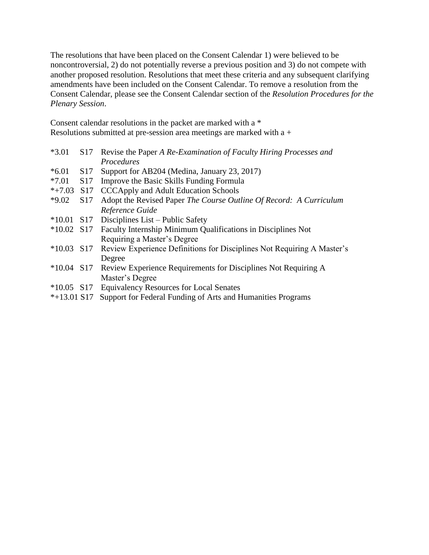The resolutions that have been placed on the Consent Calendar 1) were believed to be noncontroversial, 2) do not potentially reverse a previous position and 3) do not compete with another proposed resolution. Resolutions that meet these criteria and any subsequent clarifying amendments have been included on the Consent Calendar. To remove a resolution from the Consent Calendar, please see the Consent Calendar section of the *Resolution Procedures for the Plenary Session*.

Consent calendar resolutions in the packet are marked with a \* Resolutions submitted at pre-session area meetings are marked with a +

| $*3.01$      | S <sub>17</sub> | Revise the Paper A Re-Examination of Faculty Hiring Processes and      |
|--------------|-----------------|------------------------------------------------------------------------|
|              |                 | Procedures                                                             |
| $*6.01$      | S <sub>17</sub> | Support for AB204 (Medina, January 23, 2017)                           |
| $*7.01$      | <b>S</b> 17     | Improve the Basic Skills Funding Formula                               |
| $*+7.03$     | S17             | <b>CCCApply and Adult Education Schools</b>                            |
| $*9.02$      | S <sub>17</sub> | Adopt the Revised Paper The Course Outline Of Record: A Curriculum     |
|              |                 | Reference Guide                                                        |
| $*10.01$ S17 |                 | Disciplines List – Public Safety                                       |
| $*10.02$ S17 |                 | <b>Faculty Internship Minimum Qualifications in Disciplines Not</b>    |
|              |                 | Requiring a Master's Degree                                            |
| $*10.03$ S17 |                 | Review Experience Definitions for Disciplines Not Requiring A Master's |
|              |                 | Degree                                                                 |
| $*10.04$ S17 |                 | Review Experience Requirements for Disciplines Not Requiring A         |
|              |                 | Master's Degree                                                        |
| $*10.05$ S17 |                 | <b>Equivalency Resources for Local Senates</b>                         |
| $+12.01.017$ |                 | $\alpha$ is the state of the state of $\alpha$ in the state $\alpha$   |

\*+13.01 S17 Support for Federal Funding of Arts and Humanities Programs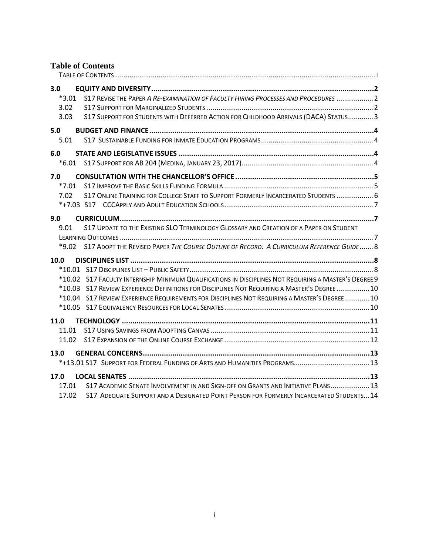# <span id="page-3-0"></span>**Table of Contents**

| 3.0  | $*3.01$<br>3.02<br>3.03 | S17 REVISE THE PAPER A RE-EXAMINATION OF FACULTY HIRING PROCESSES AND PROCEDURES  2<br>S17 SUPPORT FOR STUDENTS WITH DEFERRED ACTION FOR CHILDHOOD ARRIVALS (DACA) STATUS3                                                                                                                            |  |
|------|-------------------------|-------------------------------------------------------------------------------------------------------------------------------------------------------------------------------------------------------------------------------------------------------------------------------------------------------|--|
| 5.0  | 5.01                    |                                                                                                                                                                                                                                                                                                       |  |
| 6.0  |                         |                                                                                                                                                                                                                                                                                                       |  |
| 7.0  | $*7.01$<br>7.02         | S17 ONLINE TRAINING FOR COLLEGE STAFF TO SUPPORT FORMERLY INCARCERATED STUDENTS  6                                                                                                                                                                                                                    |  |
| 9.0  | 9.01<br>*9.02           | S17 UPDATE TO THE EXISTING SLO TERMINOLOGY GLOSSARY AND CREATION OF A PAPER ON STUDENT<br>S17 ADOPT THE REVISED PAPER THE COURSE OUTLINE OF RECORD: A CURRICULUM REFERENCE GUIDE 8                                                                                                                    |  |
|      | 10.0                    | *10.02 S17 FACULTY INTERNSHIP MINIMUM QUALIFICATIONS IN DISCIPLINES NOT REQUIRING A MASTER'S DEGREE 9<br>*10.03 S17 REVIEW EXPERIENCE DEFINITIONS FOR DISCIPLINES NOT REQUIRING A MASTER'S DEGREE  10<br>*10.04 S17 REVIEW EXPERIENCE REQUIREMENTS FOR DISCIPLINES NOT REQUIRING A MASTER'S DEGREE 10 |  |
| 11.0 | 11.01<br>11.02          |                                                                                                                                                                                                                                                                                                       |  |
| 13.0 |                         |                                                                                                                                                                                                                                                                                                       |  |
|      | 17.0<br>17.01<br>17.02  | S17 ACADEMIC SENATE INVOLVEMENT IN AND SIGN-OFF ON GRANTS AND INITIATIVE PLANS 13<br>S17 ADEQUATE SUPPORT AND A DESIGNATED POINT PERSON FOR FORMERLY INCARCERATED STUDENTS 14                                                                                                                         |  |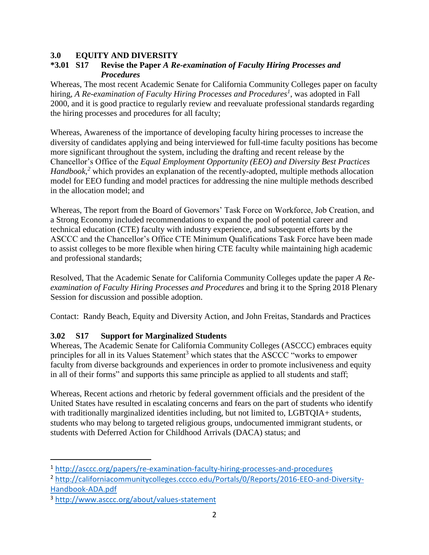#### <span id="page-4-0"></span>**3.0 EQUITY AND DIVERSITY**

#### <span id="page-4-1"></span>**\*3.01 S17 Revise the Paper** *A Re-examination of Faculty Hiring Processes and Procedures*

Whereas, The most recent Academic Senate for California Community Colleges paper on faculty hiring, *A Re-examination of Faculty Hiring Processes and Procedures<sup>1</sup>* , was adopted in Fall 2000, and it is good practice to regularly review and reevaluate professional standards regarding the hiring processes and procedures for all faculty;

Whereas, Awareness of the importance of developing faculty hiring processes to increase the diversity of candidates applying and being interviewed for full-time faculty positions has become more significant throughout the system, including the drafting and recent release by the Chancellor's Office of the *Equal Employment Opportunity (EEO) and Diversity Best Practices Handbook*,<sup>2</sup> which provides an explanation of the recently-adopted, multiple methods allocation model for EEO funding and model practices for addressing the nine multiple methods described in the allocation model; and

Whereas, The report from the Board of Governors' Task Force on Workforce, Job Creation, and a Strong Economy included recommendations to expand the pool of potential career and technical education (CTE) faculty with industry experience, and subsequent efforts by the ASCCC and the Chancellor's Office CTE Minimum Qualifications Task Force have been made to assist colleges to be more flexible when hiring CTE faculty while maintaining high academic and professional standards;

Resolved, That the Academic Senate for California Community Colleges update the paper *A Reexamination of Faculty Hiring Processes and Procedures* and bring it to the Spring 2018 Plenary Session for discussion and possible adoption.

Contact: Randy Beach, Equity and Diversity Action, and John Freitas, Standards and Practices

# <span id="page-4-2"></span>**3.02 S17 Support for Marginalized Students**

Whereas, The Academic Senate for California Community Colleges (ASCCC) embraces equity principles for all in its Values Statement<sup>3</sup> which states that the ASCCC "works to empower faculty from diverse backgrounds and experiences in order to promote inclusiveness and equity in all of their forms" and supports this same principle as applied to all students and staff;

Whereas, Recent actions and rhetoric by federal government officials and the president of the United States have resulted in escalating concerns and fears on the part of students who identify with traditionally marginalized identities including, but not limited to, LGBTQIA+ students, students who may belong to targeted religious groups, undocumented immigrant students, or students with Deferred Action for Childhood Arrivals (DACA) status; and

<sup>1</sup> <http://asccc.org/papers/re-examination-faculty-hiring-processes-and-procedures>

<sup>2</sup> [http://californiacommunitycolleges.cccco.edu/Portals/0/Reports/2016-EEO-and-Diversity-](http://californiacommunitycolleges.cccco.edu/Portals/0/Reports/2016-EEO-and-Diversity-Handbook-ADA.pdf)[Handbook-ADA.pdf](http://californiacommunitycolleges.cccco.edu/Portals/0/Reports/2016-EEO-and-Diversity-Handbook-ADA.pdf)

<sup>3</sup> <http://www.asccc.org/about/values-statement>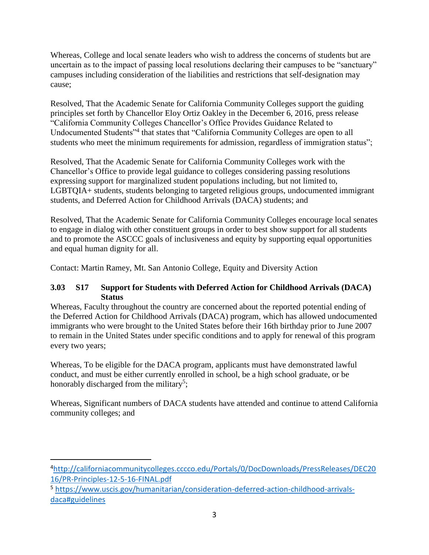Whereas, College and local senate leaders who wish to address the concerns of students but are uncertain as to the impact of passing local resolutions declaring their campuses to be "sanctuary" campuses including consideration of the liabilities and restrictions that self-designation may cause;

Resolved, That the Academic Senate for California Community Colleges support the guiding principles set forth by Chancellor Eloy Ortiz Oakley in the December 6, 2016, press release "California Community Colleges Chancellor's Office Provides Guidance Related to Undocumented Students"<sup>4</sup> that states that "California Community Colleges are open to all students who meet the minimum requirements for admission, regardless of immigration status";

Resolved, That the Academic Senate for California Community Colleges work with the Chancellor's Office to provide legal guidance to colleges considering passing resolutions expressing support for marginalized student populations including, but not limited to, LGBTQIA+ students, students belonging to targeted religious groups, undocumented immigrant students, and Deferred Action for Childhood Arrivals (DACA) students; and

Resolved, That the Academic Senate for California Community Colleges encourage local senates to engage in dialog with other constituent groups in order to best show support for all students and to promote the ASCCC goals of inclusiveness and equity by supporting equal opportunities and equal human dignity for all.

Contact: Martin Ramey, Mt. San Antonio College, Equity and Diversity Action

#### <span id="page-5-0"></span>**3.03 S17 Support for Students with Deferred Action for Childhood Arrivals (DACA) Status**

Whereas, Faculty throughout the country are concerned about the reported potential ending of the Deferred Action for Childhood Arrivals (DACA) program, which has allowed undocumented immigrants who were brought to the United States before their 16th birthday prior to June 2007 to remain in the United States under specific conditions and to apply for renewal of this program every two years;

Whereas, To be eligible for the DACA program, applicants must have demonstrated lawful conduct, and must be either currently enrolled in school, be a high school graduate, or be honorably discharged from the military<sup>5</sup>;

Whereas, Significant numbers of DACA students have attended and continue to attend California community colleges; and

<sup>4</sup>[http://californiacommunitycolleges.cccco.edu/Portals/0/DocDownloads/PressReleases/DEC20](http://californiacommunitycolleges.cccco.edu/Portals/0/DocDownloads/PressReleases/DEC2016/PR-Principles-12-5-16-FINAL.pdf) [16/PR-Principles-12-5-16-FINAL.pdf](http://californiacommunitycolleges.cccco.edu/Portals/0/DocDownloads/PressReleases/DEC2016/PR-Principles-12-5-16-FINAL.pdf)

<sup>5</sup> [https://www.uscis.gov/humanitarian/consideration-deferred-action-childhood-arrivals](https://www.uscis.gov/humanitarian/consideration-deferred-action-childhood-arrivals-daca#guidelines)[daca#guidelines](https://www.uscis.gov/humanitarian/consideration-deferred-action-childhood-arrivals-daca#guidelines)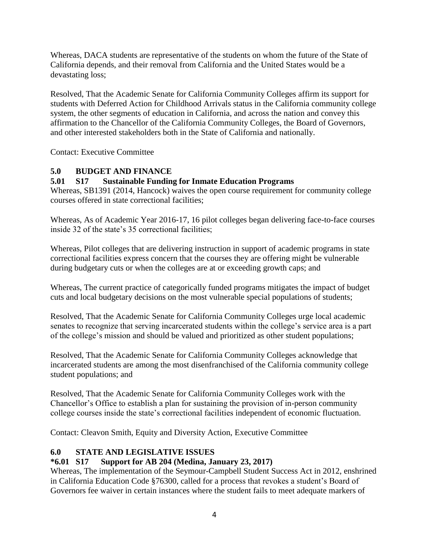Whereas, DACA students are representative of the students on whom the future of the State of California depends, and their removal from California and the United States would be a devastating loss;

Resolved, That the Academic Senate for California Community Colleges affirm its support for students with Deferred Action for Childhood Arrivals status in the California community college system, the other segments of education in California, and across the nation and convey this affirmation to the Chancellor of the California Community Colleges, the Board of Governors, and other interested stakeholders both in the State of California and nationally.

Contact: Executive Committee

#### <span id="page-6-0"></span>**5.0 BUDGET AND FINANCE**

#### <span id="page-6-1"></span>**5.01 S17 Sustainable Funding for Inmate Education Programs**

Whereas, SB1391 (2014, Hancock) waives the open course requirement for community college courses offered in state correctional facilities;

Whereas, As of Academic Year 2016-17, 16 pilot colleges began delivering face-to-face courses inside 32 of the state's 35 correctional facilities;

Whereas, Pilot colleges that are delivering instruction in support of academic programs in state correctional facilities express concern that the courses they are offering might be vulnerable during budgetary cuts or when the colleges are at or exceeding growth caps; and

Whereas, The current practice of categorically funded programs mitigates the impact of budget cuts and local budgetary decisions on the most vulnerable special populations of students;

Resolved, That the Academic Senate for California Community Colleges urge local academic senates to recognize that serving incarcerated students within the college's service area is a part of the college's mission and should be valued and prioritized as other student populations;

Resolved, That the Academic Senate for California Community Colleges acknowledge that incarcerated students are among the most disenfranchised of the California community college student populations; and

Resolved, That the Academic Senate for California Community Colleges work with the Chancellor's Office to establish a plan for sustaining the provision of in-person community college courses inside the state's correctional facilities independent of economic fluctuation.

Contact: Cleavon Smith, Equity and Diversity Action, Executive Committee

#### <span id="page-6-2"></span>**6.0 STATE AND LEGISLATIVE ISSUES**

#### <span id="page-6-3"></span>**\*6.01 S17 Support for AB 204 (Medina, January 23, 2017)**

Whereas, The implementation of the Seymour-Campbell Student Success Act in 2012, enshrined in California Education Code §76300, called for a process that revokes a student's Board of Governors fee waiver in certain instances where the student fails to meet adequate markers of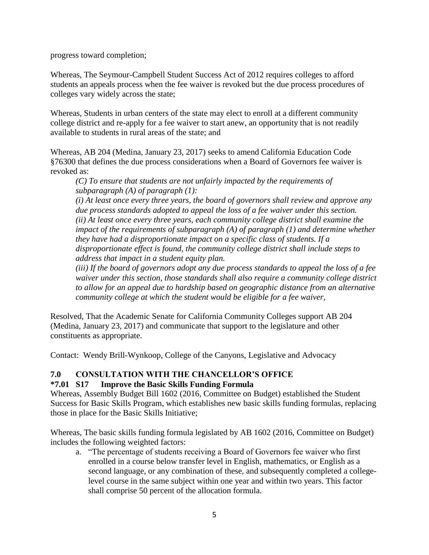progress toward completion;

Whereas, The Seymour-Campbell Student Success Act of 2012 requires colleges to afford students an appeals process when the fee waiver is revoked but the due process procedures of colleges vary widely across the state;

Whereas, Students in urban centers of the state may elect to enroll at a different community college district and re-apply for a fee waiver to start anew, an opportunity that is not readily available to students in rural areas of the state; and

Whereas, AB 204 (Medina, January 23, 2017) seeks to amend California Education Code §76300 that defines the due process considerations when a Board of Governors fee waiver is revoked as:

*(C) To ensure that students are not unfairly impacted by the requirements of subparagraph (A) of paragraph (1):*

*(i) At least once every three years, the board of governors shall review and approve any due process standards adopted to appeal the loss of a fee waiver under this section. (ii) At least once every three years, each community college district shall examine the impact of the requirements of subparagraph (A) of paragraph (1) and determine whether they have had a disproportionate impact on a specific class of students. If a disproportionate effect is found, the community college district shall include steps to address that impact in a student equity plan.*

*(iii) If the board of governors adopt any due process standards to appeal the loss of a fee waiver under this section, those standards shall also require a community college district to allow for an appeal due to hardship based on geographic distance from an alternative community college at which the student would be eligible for a fee waiver,*

Resolved, That the Academic Senate for California Community Colleges support AB 204 (Medina, January 23, 2017) and communicate that support to the legislature and other constituents as appropriate.

Contact: Wendy Brill-Wynkoop, College of the Canyons, Legislative and Advocacy

#### <span id="page-7-0"></span>**7.0 CONSULTATION WITH THE CHANCELLOR'S OFFICE**

#### <span id="page-7-1"></span>**\*7.01 S17 Improve the Basic Skills Funding Formula**

Whereas, Assembly Budget Bill 1602 (2016, Committee on Budget) established the Student Success for Basic Skills Program, which establishes new basic skills funding formulas, replacing those in place for the Basic Skills Initiative;

Whereas, The basic skills funding formula legislated by AB 1602 (2016, Committee on Budget) includes the following weighted factors:

a. "The percentage of students receiving a Board of Governors fee waiver who first enrolled in a course below transfer level in English, mathematics, or English as a second language, or any combination of these, and subsequently completed a collegelevel course in the same subject within one year and within two years. This factor shall comprise 50 percent of the allocation formula.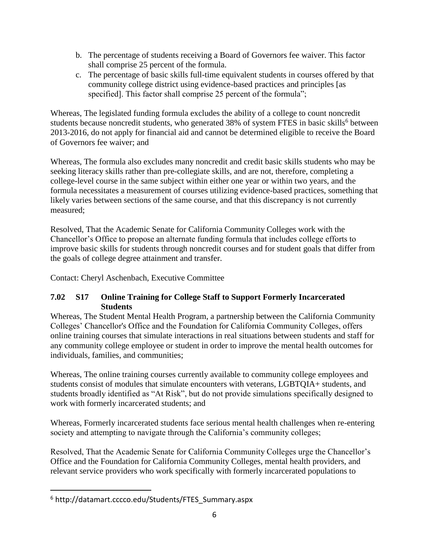- b. The percentage of students receiving a Board of Governors fee waiver. This factor shall comprise 25 percent of the formula.
- c. The percentage of basic skills full-time equivalent students in courses offered by that community college district using evidence-based practices and principles [as specified]. This factor shall comprise 25 percent of the formula";

Whereas, The legislated funding formula excludes the ability of a college to count noncredit students because noncredit students, who generated 38% of system FTES in basic skills<sup>6</sup> between 2013-2016, do not apply for financial aid and cannot be determined eligible to receive the Board of Governors fee waiver; and

Whereas, The formula also excludes many noncredit and credit basic skills students who may be seeking literacy skills rather than pre-collegiate skills, and are not, therefore, completing a college-level course in the same subject within either one year or within two years, and the formula necessitates a measurement of courses utilizing evidence-based practices, something that likely varies between sections of the same course, and that this discrepancy is not currently measured;

Resolved, That the Academic Senate for California Community Colleges work with the Chancellor's Office to propose an alternate funding formula that includes college efforts to improve basic skills for students through noncredit courses and for student goals that differ from the goals of college degree attainment and transfer.

Contact: Cheryl Aschenbach, Executive Committee

#### <span id="page-8-0"></span>**7.02 S17 Online Training for College Staff to Support Formerly Incarcerated Students**

Whereas, The Student Mental Health Program, a partnership between the California Community Colleges' Chancellor's Office and the Foundation for California Community Colleges, offers online training courses that simulate interactions in real situations between students and staff for any community college employee or student in order to improve the mental health outcomes for individuals, families, and communities;

Whereas, The online training courses currently available to community college employees and students consist of modules that simulate encounters with veterans, LGBTQIA+ students, and students broadly identified as "At Risk", but do not provide simulations specifically designed to work with formerly incarcerated students; and

Whereas, Formerly incarcerated students face serious mental health challenges when re-entering society and attempting to navigate through the California's community colleges;

Resolved, That the Academic Senate for California Community Colleges urge the Chancellor's Office and the Foundation for California Community Colleges, mental health providers, and relevant service providers who work specifically with formerly incarcerated populations to

<sup>6</sup> http://datamart.cccco.edu/Students/FTES\_Summary.aspx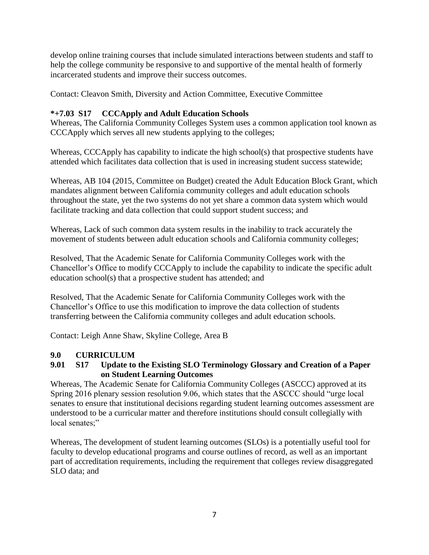develop online training courses that include simulated interactions between students and staff to help the college community be responsive to and supportive of the mental health of formerly incarcerated students and improve their success outcomes.

Contact: Cleavon Smith, Diversity and Action Committee, Executive Committee

# <span id="page-9-0"></span>**\*+7.03 S17 CCCApply and Adult Education Schools**

Whereas, The California Community Colleges System uses a common application tool known as CCCApply which serves all new students applying to the colleges;

Whereas, CCCApply has capability to indicate the high school(s) that prospective students have attended which facilitates data collection that is used in increasing student success statewide;

Whereas, AB 104 (2015, Committee on Budget) created the Adult Education Block Grant, which mandates alignment between California community colleges and adult education schools throughout the state, yet the two systems do not yet share a common data system which would facilitate tracking and data collection that could support student success; and

Whereas, Lack of such common data system results in the inability to track accurately the movement of students between adult education schools and California community colleges;

Resolved, That the Academic Senate for California Community Colleges work with the Chancellor's Office to modify CCCApply to include the capability to indicate the specific adult education school(s) that a prospective student has attended; and

Resolved, That the Academic Senate for California Community Colleges work with the Chancellor's Office to use this modification to improve the data collection of students transferring between the California community colleges and adult education schools.

Contact: Leigh Anne Shaw, Skyline College, Area B

# <span id="page-9-1"></span>**9.0 CURRICULUM**

#### <span id="page-9-2"></span>**9.01 S17 Update to the Existing SLO Terminology Glossary and Creation of a Paper on Student Learning Outcomes**

Whereas, The Academic Senate for California Community Colleges (ASCCC) approved at its Spring 2016 plenary session resolution 9.06, which states that the ASCCC should "urge local senates to ensure that institutional decisions regarding student learning outcomes assessment are understood to be a curricular matter and therefore institutions should consult collegially with local senates;"

Whereas, The development of student learning outcomes (SLOs) is a potentially useful tool for faculty to develop educational programs and course outlines of record, as well as an important part of accreditation requirements, including the requirement that colleges review disaggregated SLO data; and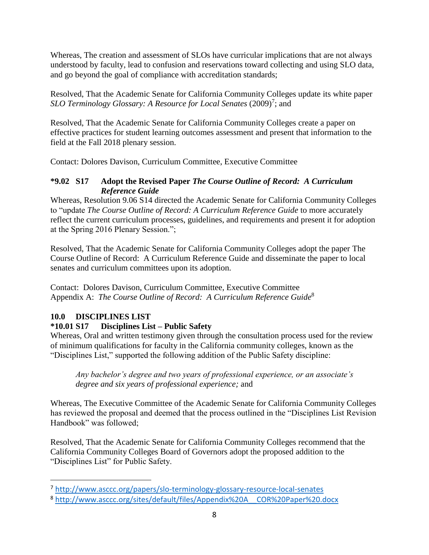Whereas, The creation and assessment of SLOs have curricular implications that are not always understood by faculty, lead to confusion and reservations toward collecting and using SLO data, and go beyond the goal of compliance with accreditation standards;

Resolved, That the Academic Senate for California Community Colleges update its white paper SLO Terminology Glossary: A Resource for Local Senates (2009)<sup>7</sup>; and

Resolved, That the Academic Senate for California Community Colleges create a paper on effective practices for student learning outcomes assessment and present that information to the field at the Fall 2018 plenary session.

Contact: Dolores Davison, Curriculum Committee, Executive Committee

#### <span id="page-10-0"></span>**\*9.02 S17 Adopt the Revised Paper** *The Course Outline of Record: A Curriculum Reference Guide*

Whereas, Resolution 9.06 S14 directed the Academic Senate for California Community Colleges to "update *The Course Outline of Record: A Curriculum Reference Guide* to more accurately reflect the current curriculum processes, guidelines, and requirements and present it for adoption at the Spring 2016 Plenary Session.";

Resolved, That the Academic Senate for California Community Colleges adopt the paper The Course Outline of Record: A Curriculum Reference Guide and disseminate the paper to local senates and curriculum committees upon its adoption.

Contact: Dolores Davison, Curriculum Committee, Executive Committee Appendix A: *The Course Outline of Record: A Curriculum Reference Guide*<sup>8</sup>

# <span id="page-10-1"></span>**10.0 DISCIPLINES LIST**

 $\overline{a}$ 

# <span id="page-10-2"></span>**\*10.01 S17 Disciplines List – Public Safety**

Whereas, Oral and written testimony given through the consultation process used for the review of minimum qualifications for faculty in the California community colleges, known as the "Disciplines List," supported the following addition of the Public Safety discipline:

*Any bachelor's degree and two years of professional experience, or an associate's degree and six years of professional experience;* and

Whereas, The Executive Committee of the Academic Senate for California Community Colleges has reviewed the proposal and deemed that the process outlined in the "Disciplines List Revision Handbook" was followed;

Resolved, That the Academic Senate for California Community Colleges recommend that the California Community Colleges Board of Governors adopt the proposed addition to the "Disciplines List" for Public Safety.

<sup>7</sup> <http://www.asccc.org/papers/slo-terminology-glossary-resource-local-senates>

<sup>8</sup> [http://www.asccc.org/sites/default/files/Appendix%20A\\_\\_COR%20Paper%20.docx](http://www.asccc.org/sites/default/files/Appendix%20A__COR%20Paper%20.docx)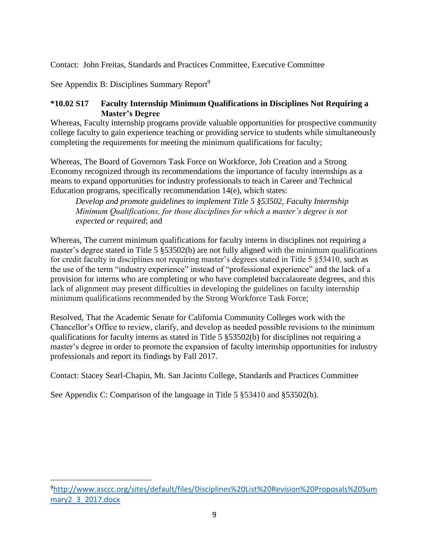Contact: John Freitas, Standards and Practices Committee, Executive Committee

See Appendix B: Disciplines Summary Report<sup>9</sup>

#### <span id="page-11-0"></span>**\*10.02 S17 Faculty Internship Minimum Qualifications in Disciplines Not Requiring a Master's Degree**

Whereas, Faculty internship programs provide valuable opportunities for prospective community college faculty to gain experience teaching or providing service to students while simultaneously completing the requirements for meeting the minimum qualifications for faculty;

Whereas, The Board of Governors Task Force on Workforce, Job Creation and a Strong Economy recognized through its recommendations the importance of faculty internships as a means to expand opportunities for industry professionals to teach in Career and Technical Education programs, specifically recommendation 14(e), which states:

*Develop and promote guidelines to implement Title 5 §53502, Faculty Internship Minimum Qualifications, for those disciplines for which a master's degree is not expected or required*; and

Whereas, The current minimum qualifications for faculty interns in disciplines not requiring a master's degree stated in Title 5 §53502(b) are not fully aligned with the minimum qualifications for credit faculty in disciplines not requiring master's degrees stated in Title 5 §53410, such as the use of the term "industry experience" instead of "professional experience" and the lack of a provision for interns who are completing or who have completed baccalaureate degrees, and this lack of alignment may present difficulties in developing the guidelines on faculty internship minimum qualifications recommended by the Strong Workforce Task Force;

Resolved, That the Academic Senate for California Community Colleges work with the Chancellor's Office to review, clarify, and develop as needed possible revisions to the minimum qualifications for faculty interns as stated in Title 5 §53502(b) for disciplines not requiring a master's degree in order to promote the expansion of faculty internship opportunities for industry professionals and report its findings by Fall 2017.

Contact: Stacey Searl-Chapin, Mt. San Jacinto College, Standards and Practices Committee

See Appendix C: Comparison of the language in Title 5 §53410 and §53502(b).

<sup>9</sup>[http://www.asccc.org/sites/default/files/Disciplines%20List%20Revision%20Proposals%20Sum](http://www.asccc.org/sites/default/files/Disciplines%20List%20Revision%20Proposals%20Summary2_3_2017.docx) [mary2\\_3\\_2017.docx](http://www.asccc.org/sites/default/files/Disciplines%20List%20Revision%20Proposals%20Summary2_3_2017.docx)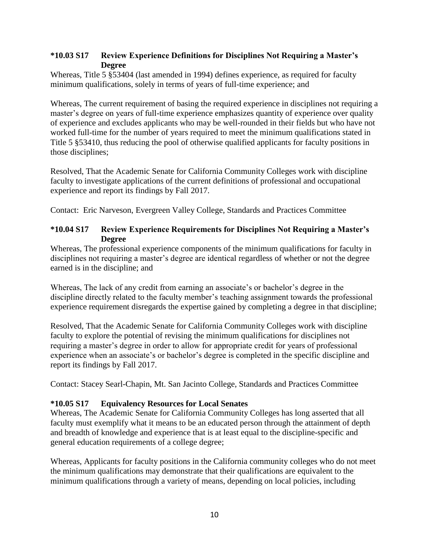#### <span id="page-12-0"></span>**\*10.03 S17 Review Experience Definitions for Disciplines Not Requiring a Master's Degree**

Whereas, Title 5 §53404 (last amended in 1994) defines experience, as required for faculty minimum qualifications, solely in terms of years of full-time experience; and

Whereas, The current requirement of basing the required experience in disciplines not requiring a master's degree on years of full-time experience emphasizes quantity of experience over quality of experience and excludes applicants who may be well-rounded in their fields but who have not worked full-time for the number of years required to meet the minimum qualifications stated in Title 5 §53410, thus reducing the pool of otherwise qualified applicants for faculty positions in those disciplines;

Resolved, That the Academic Senate for California Community Colleges work with discipline faculty to investigate applications of the current definitions of professional and occupational experience and report its findings by Fall 2017.

Contact: Eric Narveson, Evergreen Valley College, Standards and Practices Committee

#### <span id="page-12-1"></span>**\*10.04 S17 Review Experience Requirements for Disciplines Not Requiring a Master's Degree**

Whereas, The professional experience components of the minimum qualifications for faculty in disciplines not requiring a master's degree are identical regardless of whether or not the degree earned is in the discipline; and

Whereas, The lack of any credit from earning an associate's or bachelor's degree in the discipline directly related to the faculty member's teaching assignment towards the professional experience requirement disregards the expertise gained by completing a degree in that discipline;

Resolved, That the Academic Senate for California Community Colleges work with discipline faculty to explore the potential of revising the minimum qualifications for disciplines not requiring a master's degree in order to allow for appropriate credit for years of professional experience when an associate's or bachelor's degree is completed in the specific discipline and report its findings by Fall 2017.

Contact: Stacey Searl-Chapin, Mt. San Jacinto College, Standards and Practices Committee

#### <span id="page-12-2"></span>**\*10.05 S17 Equivalency Resources for Local Senates**

Whereas, The Academic Senate for California Community Colleges has long asserted that all faculty must exemplify what it means to be an educated person through the attainment of depth and breadth of knowledge and experience that is at least equal to the discipline-specific and general education requirements of a college degree;

Whereas, Applicants for faculty positions in the California community colleges who do not meet the minimum qualifications may demonstrate that their qualifications are equivalent to the minimum qualifications through a variety of means, depending on local policies, including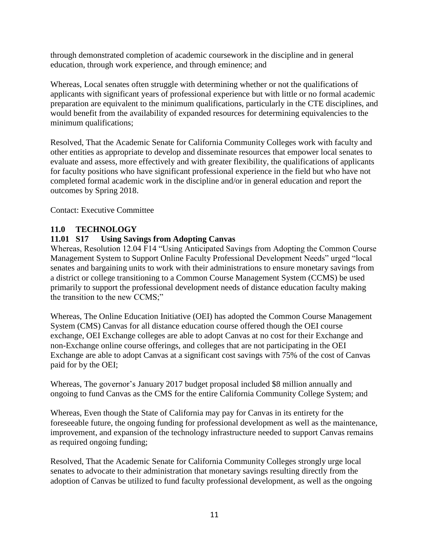through demonstrated completion of academic coursework in the discipline and in general education, through work experience, and through eminence; and

Whereas, Local senates often struggle with determining whether or not the qualifications of applicants with significant years of professional experience but with little or no formal academic preparation are equivalent to the minimum qualifications, particularly in the CTE disciplines, and would benefit from the availability of expanded resources for determining equivalencies to the minimum qualifications;

Resolved, That the Academic Senate for California Community Colleges work with faculty and other entities as appropriate to develop and disseminate resources that empower local senates to evaluate and assess, more effectively and with greater flexibility, the qualifications of applicants for faculty positions who have significant professional experience in the field but who have not completed formal academic work in the discipline and/or in general education and report the outcomes by Spring 2018.

Contact: Executive Committee

#### <span id="page-13-0"></span>**11.0 TECHNOLOGY**

#### <span id="page-13-1"></span>**11.01 S17 Using Savings from Adopting Canvas**

Whereas, Resolution 12.04 F14 "Using Anticipated Savings from Adopting the Common Course Management System to Support Online Faculty Professional Development Needs" urged "local senates and bargaining units to work with their administrations to ensure monetary savings from a district or college transitioning to a Common Course Management System (CCMS) be used primarily to support the professional development needs of distance education faculty making the transition to the new CCMS;"

Whereas, The Online Education Initiative (OEI) has adopted the Common Course Management System (CMS) Canvas for all distance education course offered though the OEI course exchange, OEI Exchange colleges are able to adopt Canvas at no cost for their Exchange and non-Exchange online course offerings, and colleges that are not participating in the OEI Exchange are able to adopt Canvas at a significant cost savings with 75% of the cost of Canvas paid for by the OEI;

Whereas, The governor's January 2017 budget proposal included \$8 million annually and ongoing to fund Canvas as the CMS for the entire California Community College System; and

Whereas, Even though the State of California may pay for Canvas in its entirety for the foreseeable future, the ongoing funding for professional development as well as the maintenance, improvement, and expansion of the technology infrastructure needed to support Canvas remains as required ongoing funding;

Resolved, That the Academic Senate for California Community Colleges strongly urge local senates to advocate to their administration that monetary savings resulting directly from the adoption of Canvas be utilized to fund faculty professional development, as well as the ongoing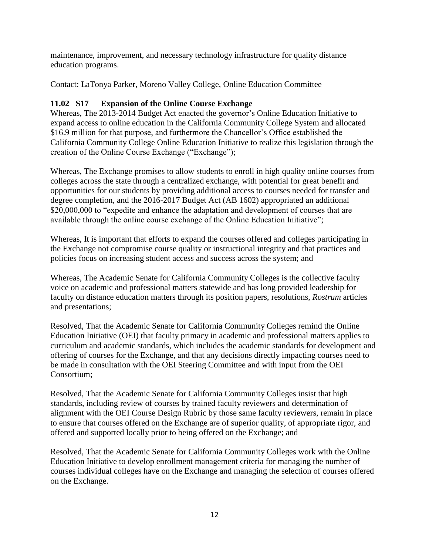maintenance, improvement, and necessary technology infrastructure for quality distance education programs.

Contact: LaTonya Parker, Moreno Valley College, Online Education Committee

#### <span id="page-14-0"></span>**11.02 S17 Expansion of the Online Course Exchange**

Whereas, The 2013-2014 Budget Act enacted the governor's Online Education Initiative to expand access to online education in the California Community College System and allocated \$16.9 million for that purpose, and furthermore the Chancellor's Office established the California Community College Online Education Initiative to realize this legislation through the creation of the Online Course Exchange ("Exchange");

Whereas, The Exchange promises to allow students to enroll in high quality online courses from colleges across the state through a centralized exchange, with potential for great benefit and opportunities for our students by providing additional access to courses needed for transfer and degree completion, and the 2016-2017 Budget Act (AB 1602) appropriated an additional \$20,000,000 to "expedite and enhance the adaptation and development of courses that are available through the online course exchange of the Online Education Initiative";

Whereas, It is important that efforts to expand the courses offered and colleges participating in the Exchange not compromise course quality or instructional integrity and that practices and policies focus on increasing student access and success across the system; and

Whereas, The Academic Senate for California Community Colleges is the collective faculty voice on academic and professional matters statewide and has long provided leadership for faculty on distance education matters through its position papers, resolutions, *Rostrum* articles and presentations;

Resolved, That the Academic Senate for California Community Colleges remind the Online Education Initiative (OEI) that faculty primacy in academic and professional matters applies to curriculum and academic standards, which includes the academic standards for development and offering of courses for the Exchange, and that any decisions directly impacting courses need to be made in consultation with the OEI Steering Committee and with input from the OEI Consortium;

Resolved, That the Academic Senate for California Community Colleges insist that high standards, including review of courses by trained faculty reviewers and determination of alignment with the OEI Course Design Rubric by those same faculty reviewers, remain in place to ensure that courses offered on the Exchange are of superior quality, of appropriate rigor, and offered and supported locally prior to being offered on the Exchange; and

Resolved, That the Academic Senate for California Community Colleges work with the Online Education Initiative to develop enrollment management criteria for managing the number of courses individual colleges have on the Exchange and managing the selection of courses offered on the Exchange.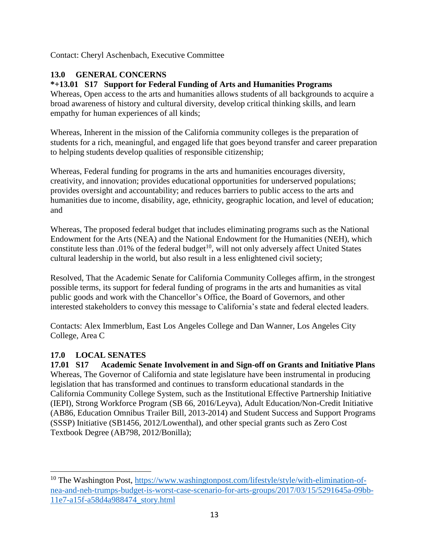Contact: Cheryl Aschenbach, Executive Committee

# <span id="page-15-0"></span>**13.0 GENERAL CONCERNS**

# <span id="page-15-1"></span>**\*+13.01 S17 Support for Federal Funding of Arts and Humanities Programs**

Whereas, Open access to the arts and humanities allows students of all backgrounds to acquire a broad awareness of history and cultural diversity, develop critical thinking skills, and learn empathy for human experiences of all kinds;

Whereas, Inherent in the mission of the California community colleges is the preparation of students for a rich, meaningful, and engaged life that goes beyond transfer and career preparation to helping students develop qualities of responsible citizenship;

Whereas, Federal funding for programs in the arts and humanities encourages diversity, creativity, and innovation; provides educational opportunities for underserved populations; provides oversight and accountability; and reduces barriers to public access to the arts and humanities due to income, disability, age, ethnicity, geographic location, and level of education; and

Whereas, The proposed federal budget that includes eliminating programs such as the National Endowment for the Arts (NEA) and the National Endowment for the Humanities (NEH), which constitute less than .01% of the federal budget<sup>10</sup>, will not only adversely affect United States cultural leadership in the world, but also result in a less enlightened civil society;

Resolved, That the Academic Senate for California Community Colleges affirm, in the strongest possible terms, its support for federal funding of programs in the arts and humanities as vital public goods and work with the Chancellor's Office, the Board of Governors, and other interested stakeholders to convey this message to California's state and federal elected leaders.

Contacts: Alex Immerblum, East Los Angeles College and Dan Wanner, Los Angeles City College, Area C

# <span id="page-15-2"></span>**17.0 LOCAL SENATES**

<span id="page-15-3"></span>**17.01 S17 Academic Senate Involvement in and Sign-off on Grants and Initiative Plans** Whereas, The Governor of California and state legislature have been instrumental in producing legislation that has transformed and continues to transform educational standards in the California Community College System, such as the Institutional Effective Partnership Initiative (IEPI), Strong Workforce Program (SB 66, 2016/Leyva), Adult Education/Non-Credit Initiative (AB86, Education Omnibus Trailer Bill, 2013-2014) and Student Success and Support Programs (SSSP) Initiative (SB1456, 2012/Lowenthal), and other special grants such as Zero Cost Textbook Degree (AB798, 2012/Bonilla);

 $\overline{a}$ <sup>10</sup> The Washington Post, [https://www.washingtonpost.com/lifestyle/style/with-elimination-of](https://www.washingtonpost.com/lifestyle/style/with-elimination-of-nea-and-neh-trumps-budget-is-worst-case-scenario-for-arts-groups/2017/03/15/5291645a-09bb-11e7-a15f-a58d4a988474_story.html)[nea-and-neh-trumps-budget-is-worst-case-scenario-for-arts-groups/2017/03/15/5291645a-09bb-](https://www.washingtonpost.com/lifestyle/style/with-elimination-of-nea-and-neh-trumps-budget-is-worst-case-scenario-for-arts-groups/2017/03/15/5291645a-09bb-11e7-a15f-a58d4a988474_story.html)[11e7-a15f-a58d4a988474\\_story.html](https://www.washingtonpost.com/lifestyle/style/with-elimination-of-nea-and-neh-trumps-budget-is-worst-case-scenario-for-arts-groups/2017/03/15/5291645a-09bb-11e7-a15f-a58d4a988474_story.html)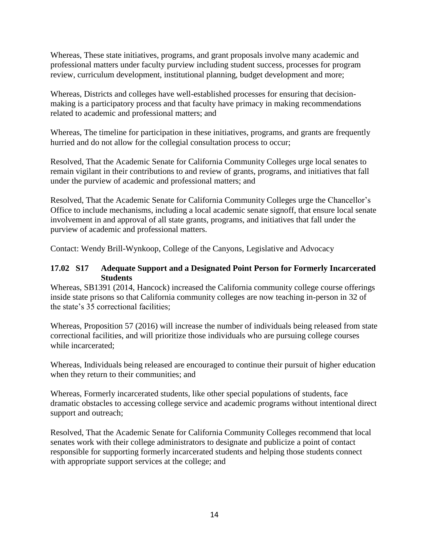Whereas, These state initiatives, programs, and grant proposals involve many academic and professional matters under faculty purview including student success, processes for program review, curriculum development, institutional planning, budget development and more;

Whereas, Districts and colleges have well-established processes for ensuring that decisionmaking is a participatory process and that faculty have primacy in making recommendations related to academic and professional matters; and

Whereas, The timeline for participation in these initiatives, programs, and grants are frequently hurried and do not allow for the collegial consultation process to occur;

Resolved, That the Academic Senate for California Community Colleges urge local senates to remain vigilant in their contributions to and review of grants, programs, and initiatives that fall under the purview of academic and professional matters; and

Resolved, That the Academic Senate for California Community Colleges urge the Chancellor's Office to include mechanisms, including a local academic senate signoff, that ensure local senate involvement in and approval of all state grants, programs, and initiatives that fall under the purview of academic and professional matters.

Contact: Wendy Brill-Wynkoop, College of the Canyons, Legislative and Advocacy

#### <span id="page-16-0"></span>**17.02 S17 Adequate Support and a Designated Point Person for Formerly Incarcerated Students**

Whereas, SB1391 (2014, Hancock) increased the California community college course offerings inside state prisons so that California community colleges are now teaching in-person in 32 of the state's 35 correctional facilities;

Whereas, Proposition 57 (2016) will increase the number of individuals being released from state correctional facilities, and will prioritize those individuals who are pursuing college courses while incarcerated;

Whereas, Individuals being released are encouraged to continue their pursuit of higher education when they return to their communities; and

Whereas, Formerly incarcerated students, like other special populations of students, face dramatic obstacles to accessing college service and academic programs without intentional direct support and outreach;

Resolved, That the Academic Senate for California Community Colleges recommend that local senates work with their college administrators to designate and publicize a point of contact responsible for supporting formerly incarcerated students and helping those students connect with appropriate support services at the college; and